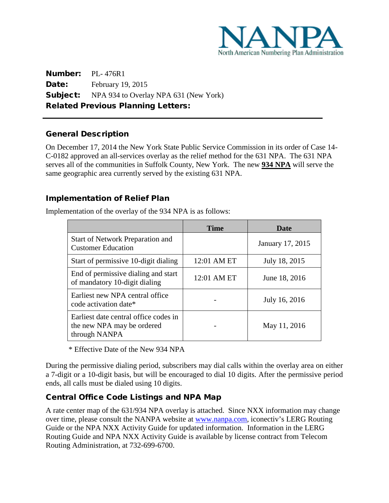

Number: PL- 476R1 Date: February 19, 2015 **Subject:** NPA 934 to Overlay NPA 631 (New York) Related Previous Planning Letters:

## General Description

L

On December 17, 2014 the New York State Public Service Commission in its order of Case 14- C-0182 approved an all-services overlay as the relief method for the 631 NPA. The 631 NPA serves all of the communities in Suffolk County, New York. The new **934 NPA** will serve the same geographic area currently served by the existing 631 NPA.

## Implementation of Relief Plan

Implementation of the overlay of the 934 NPA is as follows:

|                                                                                      | <b>Time</b> | Date             |
|--------------------------------------------------------------------------------------|-------------|------------------|
| <b>Start of Network Preparation and</b><br><b>Customer Education</b>                 |             | January 17, 2015 |
| Start of permissive 10-digit dialing                                                 | 12:01 AM ET | July 18, 2015    |
| End of permissive dialing and start<br>of mandatory 10-digit dialing                 | 12:01 AM ET | June 18, 2016    |
| Earliest new NPA central office<br>code activation date*                             |             | July 16, 2016    |
| Earliest date central office codes in<br>the new NPA may be ordered<br>through NANPA |             | May 11, 2016     |

\* Effective Date of the New 934 NPA

During the permissive dialing period, subscribers may dial calls within the overlay area on either a 7-digit or a 10-digit basis, but will be encouraged to dial 10 digits. After the permissive period ends, all calls must be dialed using 10 digits.

# Central Office Code Listings and NPA Map

A rate center map of the 631/934 NPA overlay is attached. Since NXX information may change over time, please consult the NANPA website at [www.nanpa.com,](http://www.nanpa.com/) iconectiv's LERG Routing Guide or the NPA NXX Activity Guide for updated information. Information in the LERG Routing Guide and NPA NXX Activity Guide is available by license contract from Telecom Routing Administration, at 732-699-6700.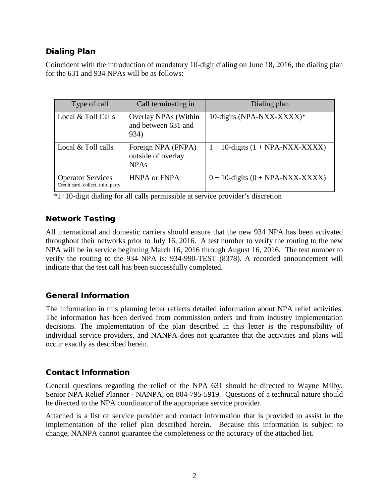# Dialing Plan

Coincident with the introduction of mandatory 10-digit dialing on June 18, 2016, the dialing plan for the 631 and 934 NPAs will be as follows:

| Type of call                                                  | Call terminating in                                     | Dialing plan                          |
|---------------------------------------------------------------|---------------------------------------------------------|---------------------------------------|
| Local & Toll Calls                                            | Overlay NPAs (Within<br>and between 631 and<br>934)     | 10-digits (NPA-NXX-XXXX)*             |
| Local & Toll calls                                            | Foreign NPA (FNPA)<br>outside of overlay<br><b>NPAs</b> | $1 + 10$ -digits $(1 + NPA-NXX-XXXX)$ |
| <b>Operator Services</b><br>Credit card, collect, third party | <b>HNPA or FNPA</b>                                     | $0 + 10$ -digits $(0 + NPA-NXX-XXXX)$ |

 $\overline{1+10}$ -digit dialing for all calls permissible at service provider's discretion

#### Network Testing

All international and domestic carriers should ensure that the new 934 NPA has been activated throughout their networks prior to July 16, 2016. A test number to verify the routing to the new NPA will be in service beginning March 16, 2016 through August 16, 2016. The test number to verify the routing to the 934 NPA is: 934-990-TEST (8378). A recorded announcement will indicate that the test call has been successfully completed.

## General Information

The information in this planning letter reflects detailed information about NPA relief activities. The information has been derived from commission orders and from industry implementation decisions. The implementation of the plan described in this letter is the responsibility of individual service providers, and NANPA does not guarantee that the activities and plans will occur exactly as described herein.

## Contact Information

General questions regarding the relief of the NPA 631 should be directed to Wayne Milby, Senior NPA Relief Planner - NANPA, on 804-795-5919. Questions of a technical nature should be directed to the NPA coordinator of the appropriate service provider.

Attached is a list of service provider and contact information that is provided to assist in the implementation of the relief plan described herein. Because this information is subject to change, NANPA cannot guarantee the completeness or the accuracy of the attached list.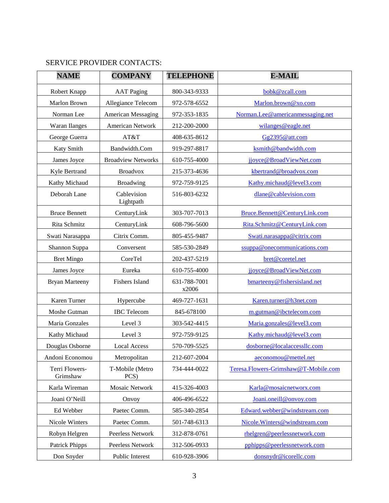# SERVICE PROVIDER CONTACTS:

| <b>NAME</b>                | <b>COMPANY</b>            | <b>TELEPHONE</b>      | <b>E-MAIL</b>                        |
|----------------------------|---------------------------|-----------------------|--------------------------------------|
| Robert Knapp               | <b>AAT Paging</b>         | 800-343-9333          | bobk@zcall.com                       |
| Marlon Brown               | Allegiance Telecom        | 972-578-6552          | Marlon.brown@xo.com                  |
| Norman Lee                 | <b>American Messaging</b> | 972-353-1835          | Norman.Lee@americanmessaging.net     |
| <b>Waran Ilanges</b>       | American Network          | 212-200-2000          | wilanges@eagle.net                   |
| George Guerra              | AT&T                      | 408-635-8612          | Gg2395@att.com                       |
| Katy Smith                 | Bandwidth.Com             | 919-297-8817          | ksmith@bandwidth.com                 |
| James Joyce                | <b>Broadview Networks</b> | 610-755-4000          | jjoyce@BroadViewNet.com              |
| Kyle Bertrand              | <b>Broadvox</b>           | 215-373-4636          | kbertrand@broadvox.com               |
| Kathy Michaud              | <b>Broadwing</b>          | 972-759-9125          | Kathy.michaud@level3.com             |
| Deborah Lane               | Cablevision<br>Lightpath  | 516-803-6232          | dlane@cablevision.com                |
| <b>Bruce Bennett</b>       | CenturyLink               | 303-707-7013          | Bruce.Bennett@CenturyLink.com        |
| Rita Schmitz               | CenturyLink               | 608-796-5600          | Rita.Schmitz@CenturyLink.com         |
| Swati Narasappa            | Citrix Comm.              | 805-455-9487          | Swati.narasappa@citrix.com           |
| Shannon Suppa              | Conversent                | 585-530-2849          | ssuppa@onecommunications.com         |
| <b>Bret Mingo</b>          | CoreTel                   | 202-437-5219          | bret@coretel.net                     |
| James Joyce                | Eureka                    | 610-755-4000          | jjoyce@BroadViewNet.com              |
| <b>Bryan Marteeny</b>      | <b>Fishers Island</b>     | 631-788-7001<br>x2006 | bmarteeny@fishersisland.net          |
| Karen Turner               | Hypercube                 | 469-727-1631          | Karen.turner@h3net.com               |
| Moshe Gutman               | <b>IBC</b> Telecom        | 845-678100            | m.gutman@ibctelecom.com              |
| Maria Gonzales             | Level 3                   | 303-542-4415          | Maria.gonzales@level3.com            |
| Kathy Michaud              | Level 3                   | 972-759-9125          | Kathy.michaud@level3.com             |
| Douglas Osborne            | <b>Local Access</b>       | 570-709-5525          | dosborne@localaccessllc.com          |
| Andoni Economou            | Metropolitan              | 212-607-2004          | aeconomou@mettel.net                 |
| Terri Flowers-<br>Grimshaw | T-Mobile (Metro<br>PCS)   | 734-444-0022          | Teresa.Flowers-Grimshaw@T-Mobile.com |
| Karla Wireman              | <b>Mosaic Network</b>     | 415-326-4003          | Karla@mosaicnetworx.com              |
| Joani O'Neill              | Onvoy                     | 406-496-6522          | Joani.oneill@onvoy.com               |
| Ed Webber                  | Paetec Comm.              | 585-340-2854          | Edward.webber@windstream.com         |
| Nicole Winters             | Paetec Comm.              | 501-748-6313          | Nicole.Winters@windstream.com        |
| Robyn Helgren              | Peerless Network          | 312-878-0761          | rhelgren@peerlessnetwork.com         |
| <b>Patrick Phipps</b>      | Peerless Network          | 312-506-0933          | pphipps@peerlessnetwork.com          |
| Don Snyder                 | Public Interest           | 610-928-3906          | donsnydr@icorellc.com                |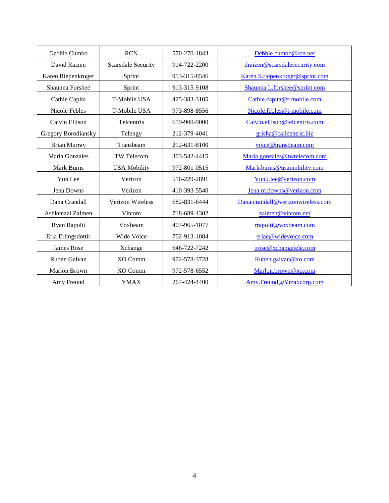| Debbie Cumbo        | <b>RCN</b>                | 570-270-1843 | Debbie.cumbo@rcn.net              |
|---------------------|---------------------------|--------------|-----------------------------------|
| David Raizen        | <b>Scarsdale Security</b> | 914-722-2200 | draizen@scarsdalesecurity.com     |
| Karen Riepenkroger  | Sprint                    | 913-315-8546 | Karen.S.riepenkroger@sprint.com   |
| Shaunna Forshee     | Sprint                    | 913-315-9108 | Shaunna.L.forshee@sprint.com      |
| Cathie Capita       | T-Mobile USA              | 425-383-3105 | Cathie.capita@t-mobile.com        |
| Nicole Febles       | T-Mobile USA              | 973-898-8556 | Nicole.febles@t-mobile.com        |
| Calvin Ellison      | Telcentris                | 619-900-9000 | Calvin.ellison@telcentris.com     |
| Gregory Borodiansky | Telengy                   | 212-379-4041 | grisha@callcentric.biz            |
| <b>Brian Murray</b> | Transbeam                 | 212-631-8100 | voice@transbeam.com               |
| Maria Gonzales      | TW Telecom                | 303-542-4415 | Maria.gonzales@twtelecom.com      |
| Mark Burns          | <b>USA Mobility</b>       | 972-801-0515 | Mark.burns@usamobility.com        |
| Yun Lee             | Verizon                   | 516-229-2891 | Yun.j.lee@verizon.com             |
| Jena Downs          | Verizon                   | 410-393-5540 | Jena.m.downs@verizon.com          |
| Dana Crandall       | Verizon Wireless          | 682-831-6444 | Dana.crandall@verizonwireless.com |
| Ashkenazi Zalmen    | Vitcom                    | 718-689-1302 | zalmen@vitcom.net                 |
| Ryan Rapolti        | Voxbeam                   | 407-965-1077 | rrapolti@voxbeam.com              |
| Erla Erlingsdottir  | Wide Voice                | 702-913-1084 | erlae@widevoice.com               |
| James Rose          | Xchange                   | 646-722-7242 | jrose@xchangetele.com             |
| Ruben Galvan        | XO Comm                   | 972-578-3728 | Ruben.galvan@xo.com               |
| Marlon Brown        | XO Comm                   | 972-578-6552 | Marlon.brown@xo.com               |
| Amy Freund          | <b>YMAX</b>               | 267-424-4400 | Amy.Freund@Ymaxcorp.com           |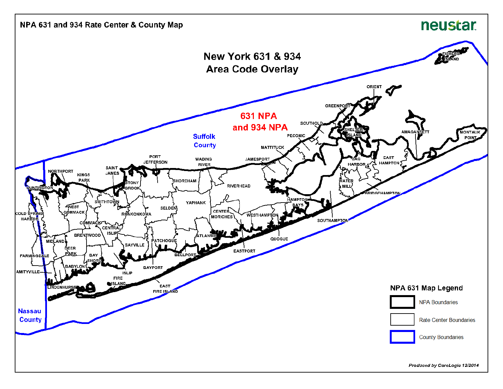